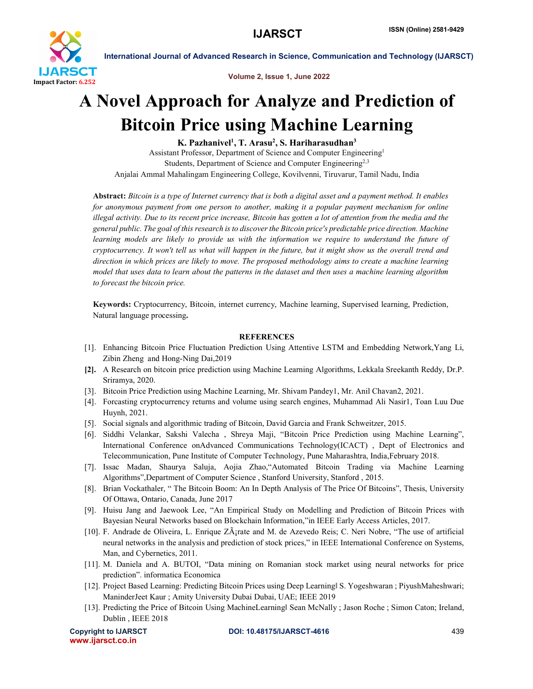

International Journal of Advanced Research in Science, Communication and Technology (IJARSCT)

Volume 2, Issue 1, June 2022

## A Novel Approach for Analyze and Prediction of Bitcoin Price using Machine Learning

K. Pazhanivel<sup>1</sup>, T. Arasu<sup>2</sup>, S. Hariharasudhan<sup>3</sup>

Assistant Professor, Department of Science and Computer Engineering1 Students, Department of Science and Computer Engineering<sup>2,3</sup> Anjalai Ammal Mahalingam Engineering College, Kovilvenni, Tiruvarur, Tamil Nadu, India

Abstract: *Bitcoin is a type of Internet currency that is both a digital asset and a payment method. It enables for anonymous payment from one person to another, making it a popular payment mechanism for online illegal activity. Due to its recent price increase, Bitcoin has gotten a lot of attention from the media and the general public. The goal of this research is to discover the Bitcoin price's predictable price direction. Machine learning models are likely to provide us with the information we require to understand the future of cryptocurrency. It won't tell us what will happen in the future, but it might show us the overall trend and direction in which prices are likely to move. The proposed methodology aims to create a machine learning model that uses data to learn about the patterns in the dataset and then uses a machine learning algorithm to forecast the bitcoin price.*

Keywords: Cryptocurrency, Bitcoin, internet currency, Machine learning, Supervised learning, Prediction, Natural language processing.

## **REFERENCES**

- [1]. Enhancing Bitcoin Price Fluctuation Prediction Using Attentive LSTM and Embedding Network,Yang Li, Zibin Zheng and Hong-Ning Dai,2019
- [2]. A Research on bitcoin price prediction using Machine Learning Algorithms, Lekkala Sreekanth Reddy, Dr.P. Sriramya, 2020.
- [3]. Bitcoin Price Prediction using Machine Learning, Mr. Shivam Pandey1, Mr. Anil Chavan2, 2021.
- [4]. Forcasting cryptocurrency returns and volume using search engines, Muhammad Ali Nasir1, Toan Luu Due Huynh, 2021.
- [5]. Social signals and algorithmic trading of Bitcoin, David Garcia and Frank Schweitzer, 2015.
- [6]. Siddhi Velankar, Sakshi Valecha , Shreya Maji, "Bitcoin Price Prediction using Machine Learning", International Conference onAdvanced Communications Technology(ICACT) , Dept of Electronics and Telecommunication, Pune Institute of Computer Technology, Pune Maharashtra, India,February 2018.
- [7]. Issac Madan, Shaurya Saluja, Aojia Zhao,"Automated Bitcoin Trading via Machine Learning Algorithms",Department of Computer Science , Stanford University, Stanford , 2015.
- [8]. Brian Vockathaler, " The Bitcoin Boom: An In Depth Analysis of The Price Of Bitcoins", Thesis, University Of Ottawa, Ontario, Canada, June 2017
- [9]. Huisu Jang and Jaewook Lee, "An Empirical Study on Modelling and Prediction of Bitcoin Prices with Bayesian Neural Networks based on Blockchain Information,"in IEEE Early Access Articles, 2017.
- [10]. F. Andrade de Oliveira, L. Enrique ZÂ<sub>i</sub>rate and M. de Azevedo Reis; C. Neri Nobre, "The use of artificial neural networks in the analysis and prediction of stock prices," in IEEE International Conference on Systems, Man, and Cybernetics, 2011.
- [11]. M. Daniela and A. BUTOI, "Data mining on Romanian stock market using neural networks for price prediction". informatica Economica
- [12]. Project Based Learning: Predicting Bitcoin Prices using Deep Learning‖ S. Yogeshwaran ; PiyushMaheshwari; ManinderJeet Kaur ; Amity University Dubai Dubai, UAE; IEEE 2019
- [13]. Predicting the Price of Bitcoin Using MachineLearning‖ Sean McNally ; Jason Roche ; Simon Caton; Ireland, Dublin , IEEE 2018

www.ijarsct.co.in